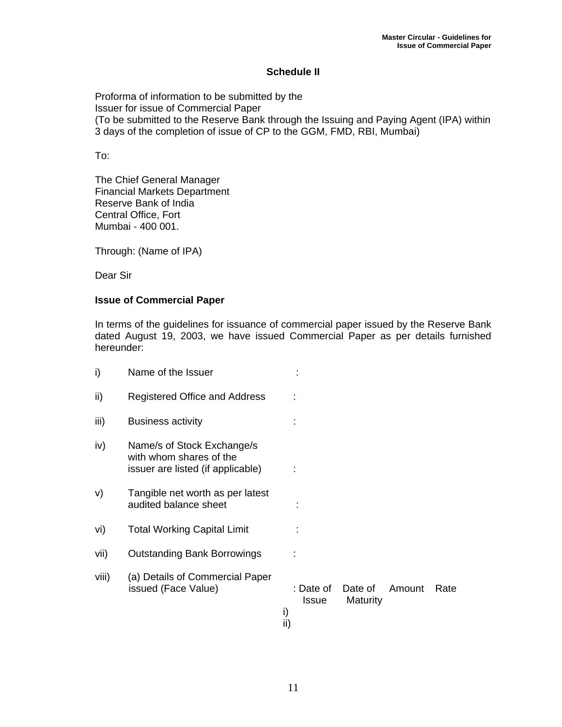## **Schedule II**

Proforma of information to be submitted by the Issuer for issue of Commercial Paper (To be submitted to the Reserve Bank through the Issuing and Paying Agent (IPA) within 3 days of the completion of issue of CP to the GGM, FMD, RBI, Mumbai)

To:

The Chief General Manager Financial Markets Department Reserve Bank of India Central Office, Fort Mumbai - 400 001.

Through: (Name of IPA)

Dear Sir

## **Issue of Commercial Paper**

In terms of the guidelines for issuance of commercial paper issued by the Reserve Bank dated August 19, 2003, we have issued Commercial Paper as per details furnished hereunder:

| i)    | Name of the Issuer                                                                         |                                        |                     |        |      |
|-------|--------------------------------------------------------------------------------------------|----------------------------------------|---------------------|--------|------|
| ii)   | Registered Office and Address                                                              |                                        |                     |        |      |
| iii)  | <b>Business activity</b>                                                                   |                                        |                     |        |      |
| iv)   | Name/s of Stock Exchange/s<br>with whom shares of the<br>issuer are listed (if applicable) |                                        |                     |        |      |
| V)    | Tangible net worth as per latest<br>audited balance sheet                                  |                                        |                     |        |      |
| vi)   | <b>Total Working Capital Limit</b>                                                         |                                        |                     |        |      |
| vii)  | <b>Outstanding Bank Borrowings</b>                                                         |                                        |                     |        |      |
| viii) | (a) Details of Commercial Paper<br>issued (Face Value)                                     | : Date of<br><b>Issue</b><br>i)<br>ii) | Date of<br>Maturity | Amount | Rate |